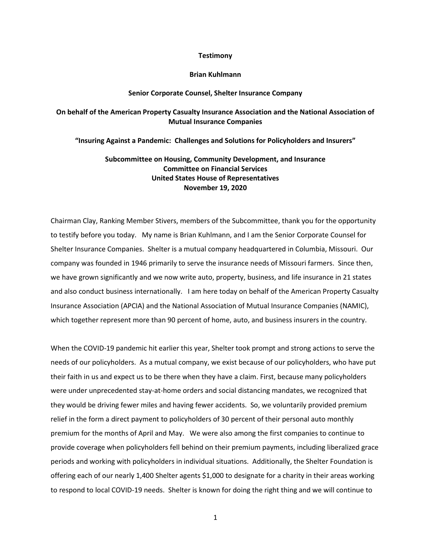### **Testimony**

### **Brian Kuhlmann**

## **Senior Corporate Counsel, Shelter Insurance Company**

# **On behalf of the American Property Casualty Insurance Association and the National Association of Mutual Insurance Companies**

## **"Insuring Against a Pandemic: Challenges and Solutions for Policyholders and Insurers"**

**Subcommittee on Housing, Community Development, and Insurance Committee on Financial Services United States House of Representatives November 19, 2020**

Chairman Clay, Ranking Member Stivers, members of the Subcommittee, thank you for the opportunity to testify before you today. My name is Brian Kuhlmann, and I am the Senior Corporate Counsel for Shelter Insurance Companies. Shelter is a mutual company headquartered in Columbia, Missouri. Our company was founded in 1946 primarily to serve the insurance needs of Missouri farmers. Since then, we have grown significantly and we now write auto, property, business, and life insurance in 21 states and also conduct business internationally. I am here today on behalf of the American Property Casualty Insurance Association (APCIA) and the National Association of Mutual Insurance Companies (NAMIC), which together represent more than 90 percent of home, auto, and business insurers in the country.

When the COVID-19 pandemic hit earlier this year, Shelter took prompt and strong actions to serve the needs of our policyholders. As a mutual company, we exist because of our policyholders, who have put their faith in us and expect us to be there when they have a claim. First, because many policyholders were under unprecedented stay-at-home orders and social distancing mandates, we recognized that they would be driving fewer miles and having fewer accidents. So, we voluntarily provided premium relief in the form a direct payment to policyholders of 30 percent of their personal auto monthly premium for the months of April and May. We were also among the first companies to continue to provide coverage when policyholders fell behind on their premium payments, including liberalized grace periods and working with policyholders in individual situations. Additionally, the Shelter Foundation is offering each of our nearly 1,400 Shelter agents \$1,000 to designate for a charity in their areas working to respond to local COVID-19 needs. Shelter is known for doing the right thing and we will continue to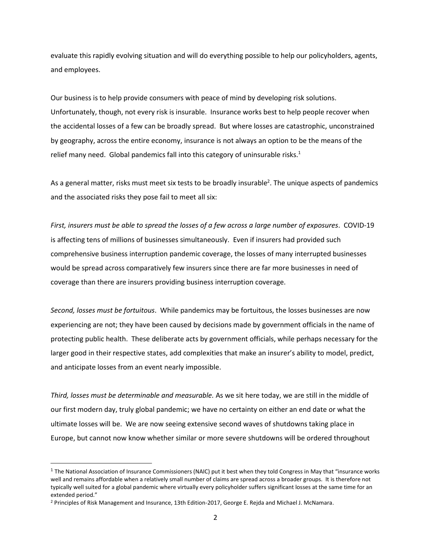evaluate this rapidly evolving situation and will do everything possible to help our policyholders, agents, and employees.

Our business is to help provide consumers with peace of mind by developing risk solutions. Unfortunately, though, not every risk is insurable. Insurance works best to help people recover when the accidental losses of a few can be broadly spread. But where losses are catastrophic, unconstrained by geography, across the entire economy, insurance is not always an option to be the means of the relief many need. Global pandemics fall into this category of uninsurable risks.<sup>1</sup>

As a general matter, risks must meet six tests to be broadly insurable<sup>2</sup>. The unique aspects of pandemics and the associated risks they pose fail to meet all six:

*First, insurers must be able to spread the losses of a few across a large number of exposures*. COVID-19 is affecting tens of millions of businesses simultaneously. Even if insurers had provided such comprehensive business interruption pandemic coverage, the losses of many interrupted businesses would be spread across comparatively few insurers since there are far more businesses in need of coverage than there are insurers providing business interruption coverage.

*Second, losses must be fortuitous*. While pandemics may be fortuitous, the losses businesses are now experiencing are not; they have been caused by decisions made by government officials in the name of protecting public health. These deliberate acts by government officials, while perhaps necessary for the larger good in their respective states, add complexities that make an insurer's ability to model, predict, and anticipate losses from an event nearly impossible.

*Third, losses must be determinable and measurable.* As we sit here today, we are still in the middle of our first modern day, truly global pandemic; we have no certainty on either an end date or what the ultimate losses will be. We are now seeing extensive second waves of shutdowns taking place in Europe, but cannot now know whether similar or more severe shutdowns will be ordered throughout

 $^1$  The National Association of Insurance Commissioners (NAIC) put it best when they told Congress in May that "insurance works well and remains affordable when a relatively small number of claims are spread across a broader groups. It is therefore not typically well suited for a global pandemic where virtually every policyholder suffers significant losses at the same time for an extended period."

<sup>2</sup> Principles of Risk Management and Insurance, 13th Edition-2017, George E. Rejda and Michael J. McNamara.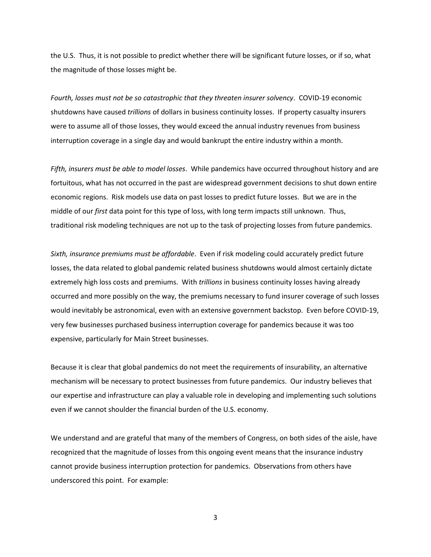the U.S. Thus, it is not possible to predict whether there will be significant future losses, or if so, what the magnitude of those losses might be.

*Fourth, losses must not be so catastrophic that they threaten insurer solvency*. COVID-19 economic shutdowns have caused *trillions* of dollars in business continuity losses. If property casualty insurers were to assume all of those losses, they would exceed the annual industry revenues from business interruption coverage in a single day and would bankrupt the entire industry within a month.

*Fifth, insurers must be able to model losses*. While pandemics have occurred throughout history and are fortuitous, what has not occurred in the past are widespread government decisions to shut down entire economic regions. Risk models use data on past losses to predict future losses. But we are in the middle of our *first* data point for this type of loss, with long term impacts still unknown. Thus, traditional risk modeling techniques are not up to the task of projecting losses from future pandemics.

*Sixth, insurance premiums must be affordable*. Even if risk modeling could accurately predict future losses, the data related to global pandemic related business shutdowns would almost certainly dictate extremely high loss costs and premiums. With *trillions* in business continuity losses having already occurred and more possibly on the way, the premiums necessary to fund insurer coverage of such losses would inevitably be astronomical, even with an extensive government backstop. Even before COVID-19, very few businesses purchased business interruption coverage for pandemics because it was too expensive, particularly for Main Street businesses.

Because it is clear that global pandemics do not meet the requirements of insurability, an alternative mechanism will be necessary to protect businesses from future pandemics. Our industry believes that our expertise and infrastructure can play a valuable role in developing and implementing such solutions even if we cannot shoulder the financial burden of the U.S. economy.

We understand and are grateful that many of the members of Congress, on both sides of the aisle, have recognized that the magnitude of losses from this ongoing event means that the insurance industry cannot provide business interruption protection for pandemics. Observations from others have underscored this point. For example: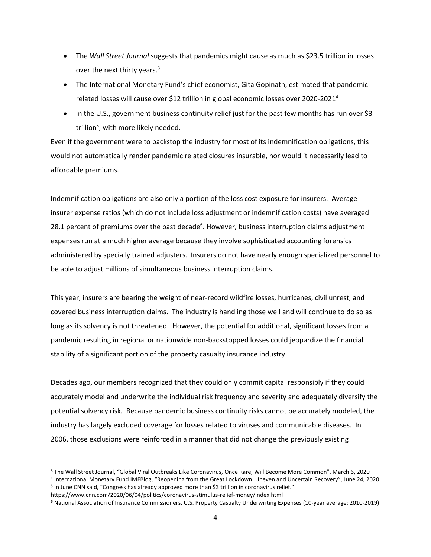- The *Wall Street Journal* suggests that pandemics might cause as much as \$23.5 trillion in losses over the next thirty years.<sup>3</sup>
- The International Monetary Fund's chief economist, Gita Gopinath, estimated that pandemic related losses will cause over \$12 trillion in global economic losses over 2020-2021<sup>4</sup>
- In the U.S., government business continuity relief just for the past few months has run over \$3 trillion<sup>5</sup>, with more likely needed.

Even if the government were to backstop the industry for most of its indemnification obligations, this would not automatically render pandemic related closures insurable, nor would it necessarily lead to affordable premiums.

Indemnification obligations are also only a portion of the loss cost exposure for insurers. Average insurer expense ratios (which do not include loss adjustment or indemnification costs) have averaged 28.1 percent of premiums over the past decade<sup>6</sup>. However, business interruption claims adjustment expenses run at a much higher average because they involve sophisticated accounting forensics administered by specially trained adjusters. Insurers do not have nearly enough specialized personnel to be able to adjust millions of simultaneous business interruption claims.

This year, insurers are bearing the weight of near-record wildfire losses, hurricanes, civil unrest, and covered business interruption claims. The industry is handling those well and will continue to do so as long as its solvency is not threatened. However, the potential for additional, significant losses from a pandemic resulting in regional or nationwide non-backstopped losses could jeopardize the financial stability of a significant portion of the property casualty insurance industry.

Decades ago, our members recognized that they could only commit capital responsibly if they could accurately model and underwrite the individual risk frequency and severity and adequately diversify the potential solvency risk. Because pandemic business continuity risks cannot be accurately modeled, the industry has largely excluded coverage for losses related to viruses and communicable diseases. In 2006, those exclusions were reinforced in a manner that did not change the previously existing

4 International Monetary Fund IMFBlog, "Reopening from the Great Lockdown: Uneven and Uncertain Recovery", June 24, 2020 5 In June CNN said, "Congress has already approved more than \$3 trillion in coronavirus relief."

<sup>3</sup> The Wall Street Journal, "Global Viral Outbreaks Like Coronavirus, Once Rare, Will Become More Common", March 6, 2020

https://www.cnn.com/2020/06/04/politics/coronavirus-stimulus-relief-money/index.html

<sup>6</sup> National Association of Insurance Commissioners, U.S. Property Casualty Underwriting Expenses (10-year average: 2010-2019)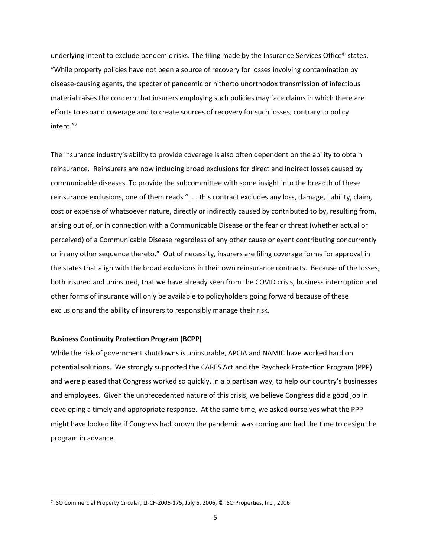underlying intent to exclude pandemic risks. The filing made by the Insurance Services Office® states, "While property policies have not been a source of recovery for losses involving contamination by disease-causing agents, the specter of pandemic or hitherto unorthodox transmission of infectious material raises the concern that insurers employing such policies may face claims in which there are efforts to expand coverage and to create sources of recovery for such losses, contrary to policy intent."<sup>7</sup>

The insurance industry's ability to provide coverage is also often dependent on the ability to obtain reinsurance. Reinsurers are now including broad exclusions for direct and indirect losses caused by communicable diseases. To provide the subcommittee with some insight into the breadth of these reinsurance exclusions, one of them reads ". . . this contract excludes any loss, damage, liability, claim, cost or expense of whatsoever nature, directly or indirectly caused by contributed to by, resulting from, arising out of, or in connection with a Communicable Disease or the fear or threat (whether actual or perceived) of a Communicable Disease regardless of any other cause or event contributing concurrently or in any other sequence thereto." Out of necessity, insurers are filing coverage forms for approval in the states that align with the broad exclusions in their own reinsurance contracts. Because of the losses, both insured and uninsured, that we have already seen from the COVID crisis, business interruption and other forms of insurance will only be available to policyholders going forward because of these exclusions and the ability of insurers to responsibly manage their risk.

### **Business Continuity Protection Program (BCPP)**

While the risk of government shutdowns is uninsurable, APCIA and NAMIC have worked hard on potential solutions. We strongly supported the CARES Act and the Paycheck Protection Program (PPP) and were pleased that Congress worked so quickly, in a bipartisan way, to help our country's businesses and employees. Given the unprecedented nature of this crisis, we believe Congress did a good job in developing a timely and appropriate response. At the same time, we asked ourselves what the PPP might have looked like if Congress had known the pandemic was coming and had the time to design the program in advance.

<sup>7</sup> ISO Commercial Property Circular, LI-CF-2006-175, July 6, 2006, © ISO Properties, Inc., 2006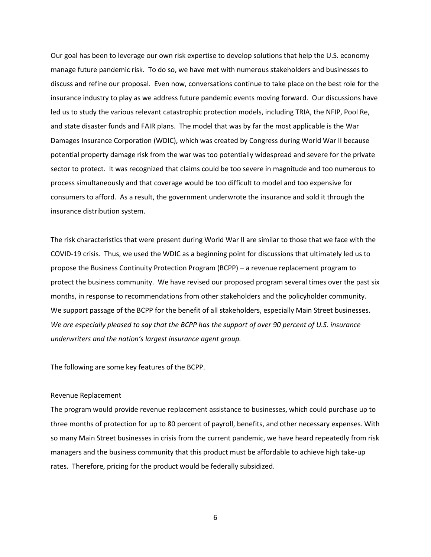Our goal has been to leverage our own risk expertise to develop solutions that help the U.S. economy manage future pandemic risk. To do so, we have met with numerous stakeholders and businesses to discuss and refine our proposal. Even now, conversations continue to take place on the best role for the insurance industry to play as we address future pandemic events moving forward. Our discussions have led us to study the various relevant catastrophic protection models, including TRIA, the NFIP, Pool Re, and state disaster funds and FAIR plans. The model that was by far the most applicable is the War Damages Insurance Corporation (WDIC), which was created by Congress during World War II because potential property damage risk from the war was too potentially widespread and severe for the private sector to protect. It was recognized that claims could be too severe in magnitude and too numerous to process simultaneously and that coverage would be too difficult to model and too expensive for consumers to afford. As a result, the government underwrote the insurance and sold it through the insurance distribution system.

The risk characteristics that were present during World War II are similar to those that we face with the COVID-19 crisis. Thus, we used the WDIC as a beginning point for discussions that ultimately led us to propose the Business Continuity Protection Program (BCPP) – a revenue replacement program to protect the business community. We have revised our proposed program several times over the past six months, in response to recommendations from other stakeholders and the policyholder community. We support passage of the BCPP for the benefit of all stakeholders, especially Main Street businesses. *We are especially pleased to say that the BCPP has the support of over 90 percent of U.S. insurance underwriters and the nation's largest insurance agent group.* 

The following are some key features of the BCPP.

### Revenue Replacement

The program would provide revenue replacement assistance to businesses, which could purchase up to three months of protection for up to 80 percent of payroll, benefits, and other necessary expenses. With so many Main Street businesses in crisis from the current pandemic, we have heard repeatedly from risk managers and the business community that this product must be affordable to achieve high take-up rates. Therefore, pricing for the product would be federally subsidized.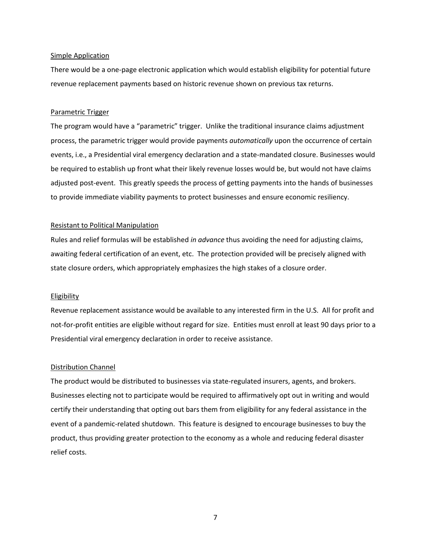### Simple Application

There would be a one-page electronic application which would establish eligibility for potential future revenue replacement payments based on historic revenue shown on previous tax returns.

# Parametric Trigger

The program would have a "parametric" trigger. Unlike the traditional insurance claims adjustment process, the parametric trigger would provide payments *automatically* upon the occurrence of certain events, i.e., a Presidential viral emergency declaration and a state-mandated closure. Businesses would be required to establish up front what their likely revenue losses would be, but would not have claims adjusted post-event. This greatly speeds the process of getting payments into the hands of businesses to provide immediate viability payments to protect businesses and ensure economic resiliency.

### Resistant to Political Manipulation

Rules and relief formulas will be established *in advance* thus avoiding the need for adjusting claims, awaiting federal certification of an event, etc. The protection provided will be precisely aligned with state closure orders, which appropriately emphasizes the high stakes of a closure order.

#### Eligibility

Revenue replacement assistance would be available to any interested firm in the U.S. All for profit and not-for-profit entities are eligible without regard for size. Entities must enroll at least 90 days prior to a Presidential viral emergency declaration in order to receive assistance.

## Distribution Channel

The product would be distributed to businesses via state-regulated insurers, agents, and brokers. Businesses electing not to participate would be required to affirmatively opt out in writing and would certify their understanding that opting out bars them from eligibility for any federal assistance in the event of a pandemic-related shutdown. This feature is designed to encourage businesses to buy the product, thus providing greater protection to the economy as a whole and reducing federal disaster relief costs.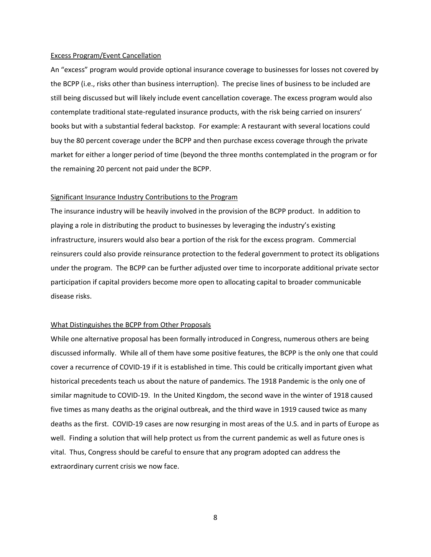#### Excess Program/Event Cancellation

An "excess" program would provide optional insurance coverage to businesses for losses not covered by the BCPP (i.e., risks other than business interruption). The precise lines of business to be included are still being discussed but will likely include event cancellation coverage. The excess program would also contemplate traditional state-regulated insurance products, with the risk being carried on insurers' books but with a substantial federal backstop. For example: A restaurant with several locations could buy the 80 percent coverage under the BCPP and then purchase excess coverage through the private market for either a longer period of time (beyond the three months contemplated in the program or for the remaining 20 percent not paid under the BCPP.

# Significant Insurance Industry Contributions to the Program

The insurance industry will be heavily involved in the provision of the BCPP product. In addition to playing a role in distributing the product to businesses by leveraging the industry's existing infrastructure, insurers would also bear a portion of the risk for the excess program. Commercial reinsurers could also provide reinsurance protection to the federal government to protect its obligations under the program. The BCPP can be further adjusted over time to incorporate additional private sector participation if capital providers become more open to allocating capital to broader communicable disease risks.

# What Distinguishes the BCPP from Other Proposals

While one alternative proposal has been formally introduced in Congress, numerous others are being discussed informally. While all of them have some positive features, the BCPP is the only one that could cover a recurrence of COVID-19 if it is established in time. This could be critically important given what historical precedents teach us about the nature of pandemics. The 1918 Pandemic is the only one of similar magnitude to COVID-19. In the United Kingdom, the second wave in the winter of 1918 caused five times as many deaths as the original outbreak, and the third wave in 1919 caused twice as many deaths as the first. COVID-19 cases are now resurging in most areas of the U.S. and in parts of Europe as well. Finding a solution that will help protect us from the current pandemic as well as future ones is vital. Thus, Congress should be careful to ensure that any program adopted can address the extraordinary current crisis we now face.